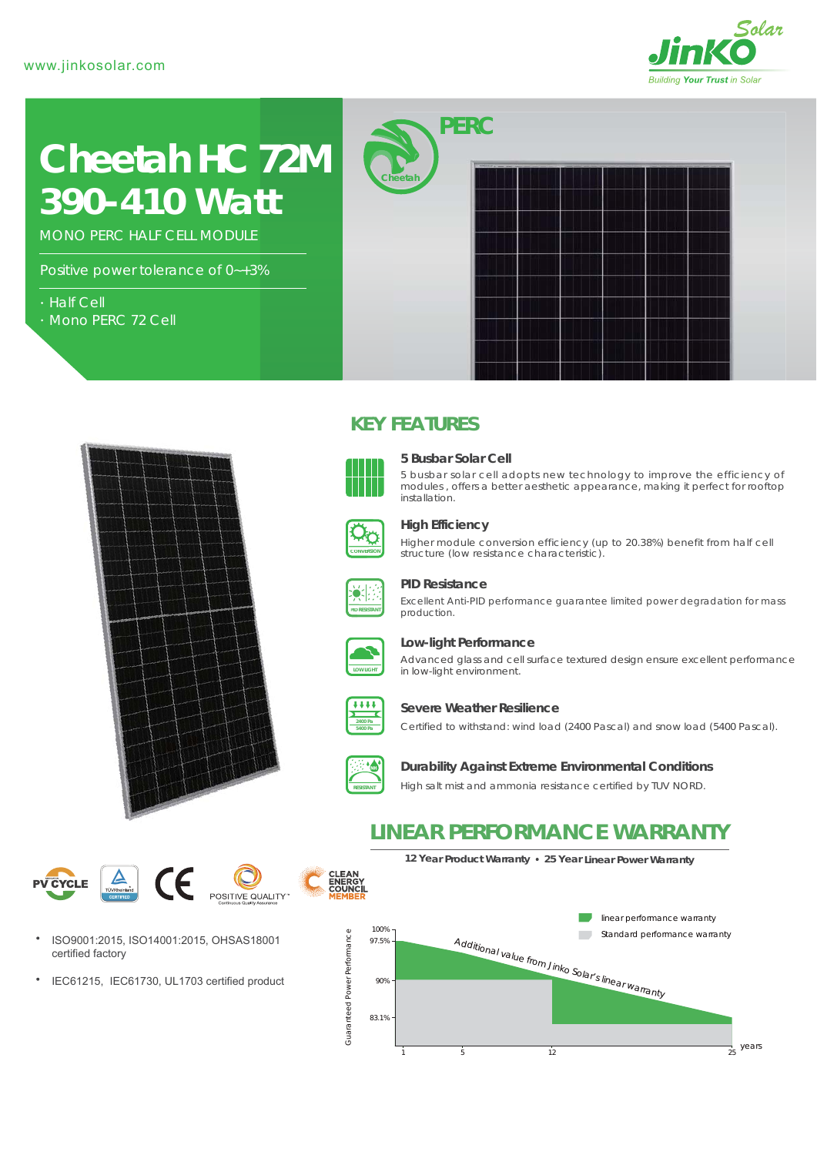

# *390-410 Watt* **Cheetah HC 72M**

MONO PERC HALF CELL MODULE

Positive power tolerance of 0~+3%

- Half Cell
- Mono PERC 72 Cell



# **KEY FEATURES**



#### **5 Busbar Solar Cell**

5 busbar solar cell adopts new technology to improve the efficiency of modules , offers a better aesthetic appearance, making it perfect for rooftop installation.



### **High Efficiency**

Higher module conversion efficiency (up to 20.38%) benefit from half cell structure (low resistance characteristic).



#### **PID Resistance**

Excellent Anti-PID performance guarantee limited power degradation for mass production.



#### **Low-light Performance**

Advanced glass and cell surface textured design ensure excellent performance in low-light environment.



#### **Severe Weather Resilience**

Certified to withstand: wind load (2400 Pascal) and snow load (5400 Pascal).



#### **Durability Against Extreme Environmental Conditions**

High salt mist and ammonia resistance certified by TUV NORD.







IEC61215, IEC61730, UL1703 certified product  $\bullet$ 

**CLEAN<br>ENERGY<br>COUNCIL**